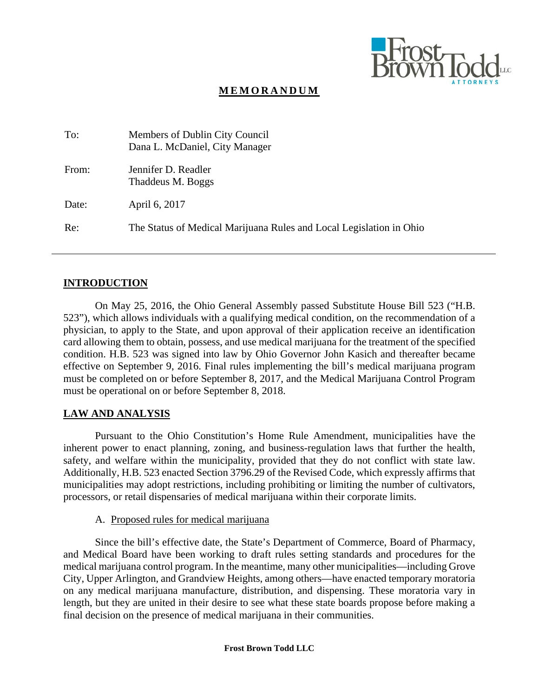

# **MEMORANDUM**

| To:   | Members of Dublin City Council<br>Dana L. McDaniel, City Manager    |
|-------|---------------------------------------------------------------------|
| From: | Jennifer D. Readler<br>Thaddeus M. Boggs                            |
| Date: | April 6, 2017                                                       |
| Re:   | The Status of Medical Marijuana Rules and Local Legislation in Ohio |

## **INTRODUCTION**

On May 25, 2016, the Ohio General Assembly passed Substitute House Bill 523 ("H.B. 523"), which allows individuals with a qualifying medical condition, on the recommendation of a physician, to apply to the State, and upon approval of their application receive an identification card allowing them to obtain, possess, and use medical marijuana for the treatment of the specified condition. H.B. 523 was signed into law by Ohio Governor John Kasich and thereafter became effective on September 9, 2016. Final rules implementing the bill's medical marijuana program must be completed on or before September 8, 2017, and the Medical Marijuana Control Program must be operational on or before September 8, 2018.

## **LAW AND ANALYSIS**

Pursuant to the Ohio Constitution's Home Rule Amendment, municipalities have the inherent power to enact planning, zoning, and business-regulation laws that further the health, safety, and welfare within the municipality, provided that they do not conflict with state law. Additionally, H.B. 523 enacted Section 3796.29 of the Revised Code, which expressly affirms that municipalities may adopt restrictions, including prohibiting or limiting the number of cultivators, processors, or retail dispensaries of medical marijuana within their corporate limits.

## A. Proposed rules for medical marijuana

Since the bill's effective date, the State's Department of Commerce, Board of Pharmacy, and Medical Board have been working to draft rules setting standards and procedures for the medical marijuana control program. In the meantime, many other municipalities—including Grove City, Upper Arlington, and Grandview Heights, among others—have enacted temporary moratoria on any medical marijuana manufacture, distribution, and dispensing. These moratoria vary in length, but they are united in their desire to see what these state boards propose before making a final decision on the presence of medical marijuana in their communities.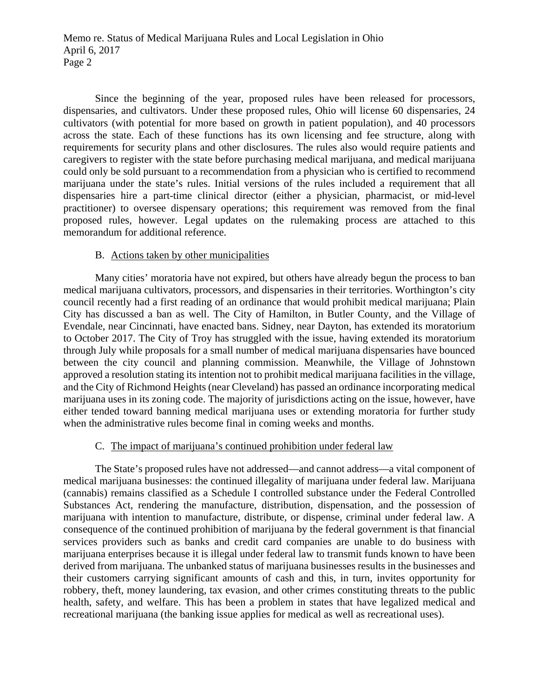Since the beginning of the year, proposed rules have been released for processors, dispensaries, and cultivators. Under these proposed rules, Ohio will license 60 dispensaries, 24 cultivators (with potential for more based on growth in patient population), and 40 processors across the state. Each of these functions has its own licensing and fee structure, along with requirements for security plans and other disclosures. The rules also would require patients and caregivers to register with the state before purchasing medical marijuana, and medical marijuana could only be sold pursuant to a recommendation from a physician who is certified to recommend marijuana under the state's rules. Initial versions of the rules included a requirement that all dispensaries hire a part-time clinical director (either a physician, pharmacist, or mid-level practitioner) to oversee dispensary operations; this requirement was removed from the final proposed rules, however. Legal updates on the rulemaking process are attached to this memorandum for additional reference.

## B. Actions taken by other municipalities

Many cities' moratoria have not expired, but others have already begun the process to ban medical marijuana cultivators, processors, and dispensaries in their territories. Worthington's city council recently had a first reading of an ordinance that would prohibit medical marijuana; Plain City has discussed a ban as well. The City of Hamilton, in Butler County, and the Village of Evendale, near Cincinnati, have enacted bans. Sidney, near Dayton, has extended its moratorium to October 2017. The City of Troy has struggled with the issue, having extended its moratorium through July while proposals for a small number of medical marijuana dispensaries have bounced between the city council and planning commission. Meanwhile, the Village of Johnstown approved a resolution stating its intention not to prohibit medical marijuana facilities in the village, and the City of Richmond Heights (near Cleveland) has passed an ordinance incorporating medical marijuana uses in its zoning code. The majority of jurisdictions acting on the issue, however, have either tended toward banning medical marijuana uses or extending moratoria for further study when the administrative rules become final in coming weeks and months.

## C. The impact of marijuana's continued prohibition under federal law

The State's proposed rules have not addressed—and cannot address—a vital component of medical marijuana businesses: the continued illegality of marijuana under federal law. Marijuana (cannabis) remains classified as a Schedule I controlled substance under the Federal Controlled Substances Act, rendering the manufacture, distribution, dispensation, and the possession of marijuana with intention to manufacture, distribute, or dispense, criminal under federal law. A consequence of the continued prohibition of marijuana by the federal government is that financial services providers such as banks and credit card companies are unable to do business with marijuana enterprises because it is illegal under federal law to transmit funds known to have been derived from marijuana. The unbanked status of marijuana businesses results in the businesses and their customers carrying significant amounts of cash and this, in turn, invites opportunity for robbery, theft, money laundering, tax evasion, and other crimes constituting threats to the public health, safety, and welfare. This has been a problem in states that have legalized medical and recreational marijuana (the banking issue applies for medical as well as recreational uses).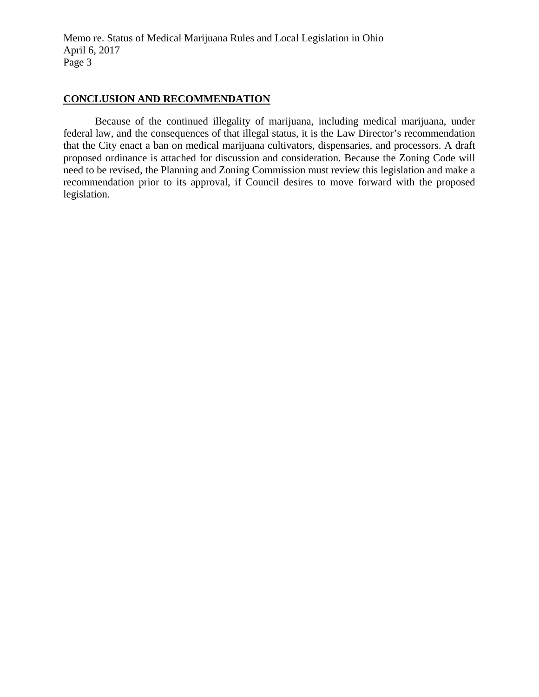Memo re. Status of Medical Marijuana Rules and Local Legislation in Ohio April 6, 2017 Page 3

## **CONCLUSION AND RECOMMENDATION**

Because of the continued illegality of marijuana, including medical marijuana, under federal law, and the consequences of that illegal status, it is the Law Director's recommendation that the City enact a ban on medical marijuana cultivators, dispensaries, and processors. A draft proposed ordinance is attached for discussion and consideration. Because the Zoning Code will need to be revised, the Planning and Zoning Commission must review this legislation and make a recommendation prior to its approval, if Council desires to move forward with the proposed legislation.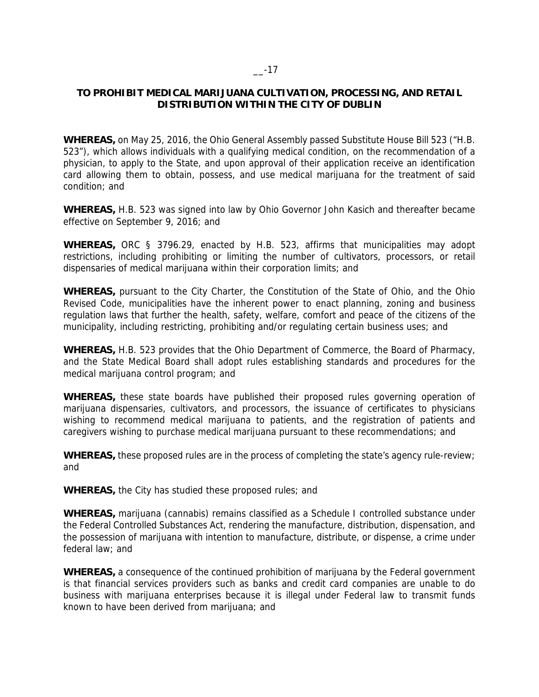## $-17$

## **TO PROHIBIT MEDICAL MARIJUANA CULTIVATION, PROCESSING, AND RETAIL DISTRIBUTION WITHIN THE CITY OF DUBLIN**

**WHEREAS,** on May 25, 2016, the Ohio General Assembly passed Substitute House Bill 523 ("H.B. 523"), which allows individuals with a qualifying medical condition, on the recommendation of a physician, to apply to the State, and upon approval of their application receive an identification card allowing them to obtain, possess, and use medical marijuana for the treatment of said condition; and

**WHEREAS,** H.B. 523 was signed into law by Ohio Governor John Kasich and thereafter became effective on September 9, 2016; and

**WHEREAS,** ORC § 3796.29, enacted by H.B. 523, affirms that municipalities may adopt restrictions, including prohibiting or limiting the number of cultivators, processors, or retail dispensaries of medical marijuana within their corporation limits; and

**WHEREAS,** pursuant to the City Charter, the Constitution of the State of Ohio, and the Ohio Revised Code, municipalities have the inherent power to enact planning, zoning and business regulation laws that further the health, safety, welfare, comfort and peace of the citizens of the municipality, including restricting, prohibiting and/or regulating certain business uses; and

**WHEREAS,** H.B. 523 provides that the Ohio Department of Commerce, the Board of Pharmacy, and the State Medical Board shall adopt rules establishing standards and procedures for the medical marijuana control program; and

**WHEREAS,** these state boards have published their proposed rules governing operation of marijuana dispensaries, cultivators, and processors, the issuance of certificates to physicians wishing to recommend medical marijuana to patients, and the registration of patients and caregivers wishing to purchase medical marijuana pursuant to these recommendations; and

**WHEREAS,** these proposed rules are in the process of completing the state's agency rule-review; and

**WHEREAS,** the City has studied these proposed rules; and

**WHEREAS,** marijuana (cannabis) remains classified as a Schedule I controlled substance under the Federal Controlled Substances Act, rendering the manufacture, distribution, dispensation, and the possession of marijuana with intention to manufacture, distribute, or dispense, a crime under federal law; and

**WHEREAS,** a consequence of the continued prohibition of marijuana by the Federal government is that financial services providers such as banks and credit card companies are unable to do business with marijuana enterprises because it is illegal under Federal law to transmit funds known to have been derived from marijuana; and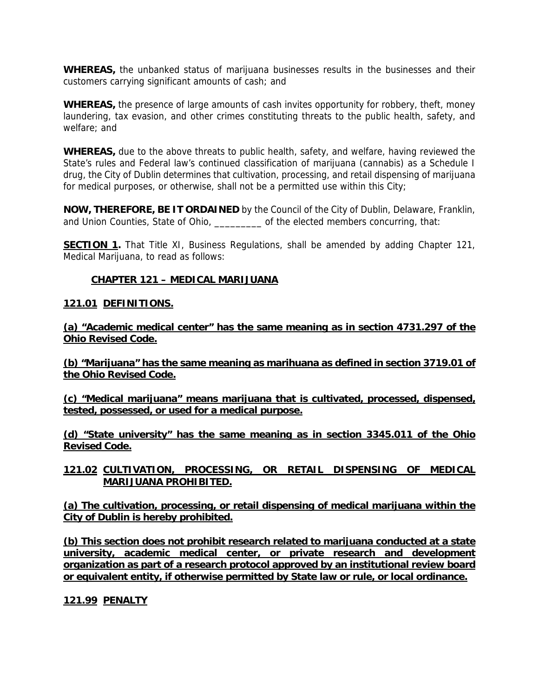**WHEREAS,** the unbanked status of marijuana businesses results in the businesses and their customers carrying significant amounts of cash; and

**WHEREAS,** the presence of large amounts of cash invites opportunity for robbery, theft, money laundering, tax evasion, and other crimes constituting threats to the public health, safety, and welfare; and

**WHEREAS,** due to the above threats to public health, safety, and welfare, having reviewed the State's rules and Federal law's continued classification of marijuana (cannabis) as a Schedule I drug, the City of Dublin determines that cultivation, processing, and retail dispensing of marijuana for medical purposes, or otherwise, shall not be a permitted use within this City;

**NOW, THEREFORE, BE IT ORDAINED** by the Council of the City of Dublin, Delaware, Franklin, and Union Counties, State of Ohio, \_\_\_\_\_\_\_\_\_ of the elected members concurring, that:

**SECTION 1.** That Title XI, Business Regulations, shall be amended by adding Chapter 121, Medical Marijuana, to read as follows:

## **CHAPTER 121 – MEDICAL MARIJUANA**

## **121.01 DEFINITIONS.**

**(a) "Academic medical center" has the same meaning as in section 4731.297 of the Ohio Revised Code.** 

**(b) "Marijuana" has the same meaning as marihuana as defined in section 3719.01 of the Ohio Revised Code.** 

**(c) "Medical marijuana" means marijuana that is cultivated, processed, dispensed, tested, possessed, or used for a medical purpose.** 

**(d) "State university" has the same meaning as in section 3345.011 of the Ohio Revised Code.** 

**121.02 CULTIVATION, PROCESSING, OR RETAIL DISPENSING OF MEDICAL MARIJUANA PROHIBITED.** 

**(a) The cultivation, processing, or retail dispensing of medical marijuana within the City of Dublin is hereby prohibited.** 

**(b) This section does not prohibit research related to marijuana conducted at a state university, academic medical center, or private research and development organization as part of a research protocol approved by an institutional review board or equivalent entity, if otherwise permitted by State law or rule, or local ordinance.** 

**121.99 PENALTY**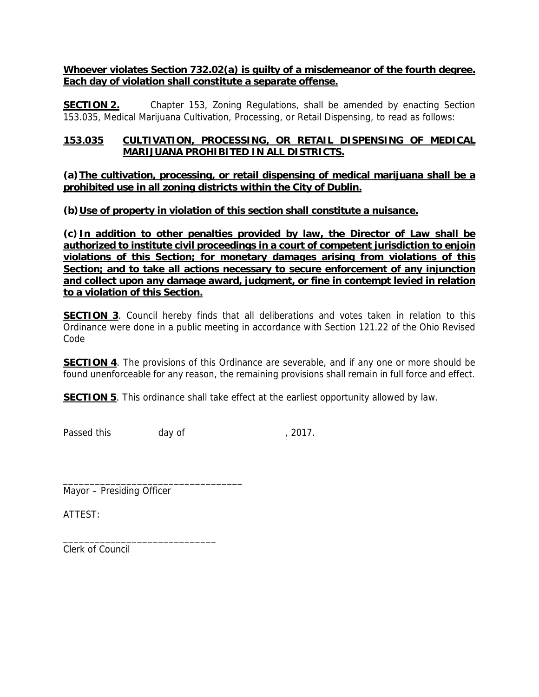**Whoever violates Section 732.02(a) is guilty of a misdemeanor of the fourth degree. Each day of violation shall constitute a separate offense.** 

**SECTION 2.** Chapter 153, Zoning Regulations, shall be amended by enacting Section 153.035, Medical Marijuana Cultivation, Processing, or Retail Dispensing, to read as follows:

## **153.035 CULTIVATION, PROCESSING, OR RETAIL DISPENSING OF MEDICAL MARIJUANA PROHIBITED IN ALL DISTRICTS.**

**(a)The cultivation, processing, or retail dispensing of medical marijuana shall be a prohibited use in all zoning districts within the City of Dublin.** 

## **(b)Use of property in violation of this section shall constitute a nuisance.**

**(c) In addition to other penalties provided by law, the Director of Law shall be authorized to institute civil proceedings in a court of competent jurisdiction to enjoin violations of this Section; for monetary damages arising from violations of this Section; and to take all actions necessary to secure enforcement of any injunction and collect upon any damage award, judgment, or fine in contempt levied in relation to a violation of this Section.** 

**SECTION 3**. Council hereby finds that all deliberations and votes taken in relation to this Ordinance were done in a public meeting in accordance with Section 121.22 of the Ohio Revised Code

**SECTION 4**. The provisions of this Ordinance are severable, and if any one or more should be found unenforceable for any reason, the remaining provisions shall remain in full force and effect.

**SECTION 5**. This ordinance shall take effect at the earliest opportunity allowed by law.

Passed this  $\frac{day}{1}$  of  $\frac{2017}{1}$ 

Mayor – Presiding Officer

\_\_\_\_\_\_\_\_\_\_\_\_\_\_\_\_\_\_\_\_\_\_\_\_\_\_\_\_\_\_\_\_\_\_

\_\_\_\_\_\_\_\_\_\_\_\_\_\_\_\_\_\_\_\_\_\_\_\_\_\_\_\_\_

ATTEST:

Clerk of Council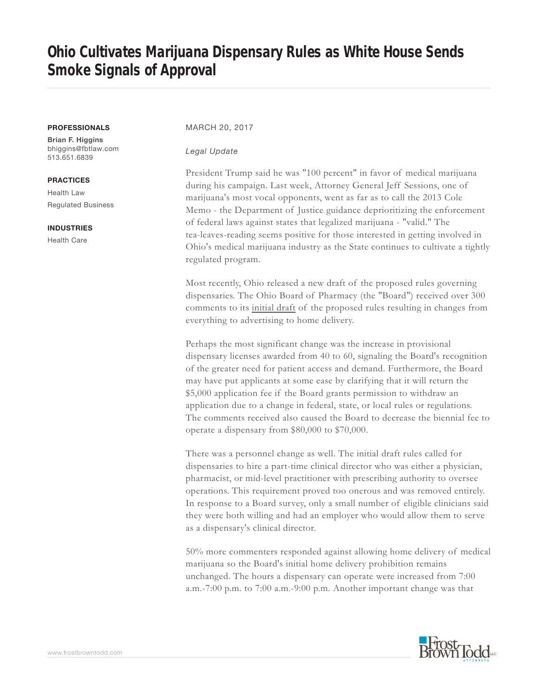# **Ohio Cultivates Marijuana Dispensary Rules as White House Sends Smoke Signals of Approval**

#### **PROFESSIONALS**

**Brian F. Higgins** bhiggins@fbtlaw.com 513.651.6839

**PRACTICES** Health Law

Regulated Business

#### **INDUSTRIES**

Health Care

### MARCH 20, 2017

#### *Legal Update*

President Trump said he was "100 percent" in favor of medical marijuana during his campaign. Last week, Attorney General Jeff Sessions, one of marijuana's most vocal opponents, went as far as to call the 2013 Cole Memo - the Department of Justice guidance deprioritizing the enforcement of federal laws against states that legalized marijuana - "valid." The tea-leaves-reading seems positive for those interested in getting involved in Ohio's medical marijuana industry as the State continues to cultivate a tightly regulated program.

Most recently, Ohio released a new draft of the proposed rules governing dispensaries. The Ohio Board of Pharmacy (the "Board") received over 300 comments to its initial draft of the proposed rules resulting in changes from everything to advertising to home delivery.

Perhaps the most significant change was the increase in provisional dispensary licenses awarded from 40 to 60, signaling the Board's recognition of the greater need for patient access and demand. Furthermore, the Board may have put applicants at some ease by clarifying that it will return the \$5,000 application fee if the Board grants permission to withdraw an application due to a change in federal, state, or local rules or regulations. The comments received also caused the Board to decrease the biennial fee to operate a dispensary from \$80,000 to \$70,000.

There was a personnel change as well. The initial draft rules called for dispensaries to hire a part-time clinical director who was either a physician, pharmacist, or mid-level practitioner with prescribing authority to oversee operations. This requirement proved too onerous and was removed entirely. In response to a Board survey, only a small number of eligible clinicians said they were both willing and had an employer who would allow them to serve as a dispensary's clinical director.

50% more commenters responded against allowing home delivery of medical marijuana so the Board's initial home delivery prohibition remains unchanged. The hours a dispensary can operate were increased from 7:00 a.m.-7:00 p.m. to 7:00 a.m.-9:00 p.m. Another important change was that

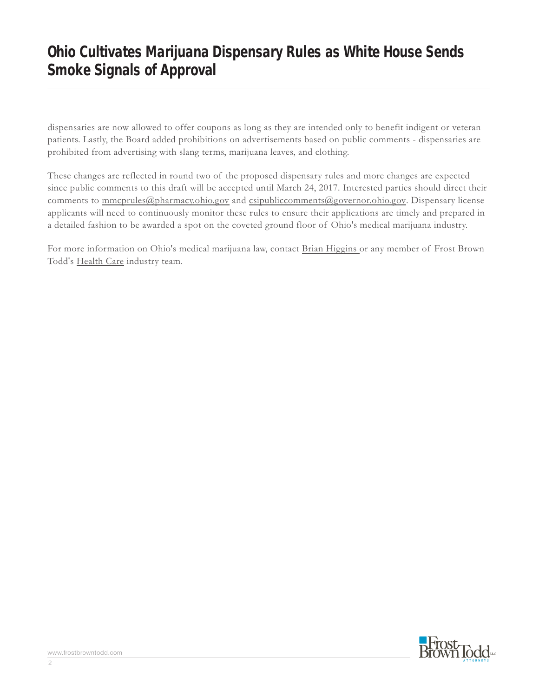# **Ohio Cultivates Marijuana Dispensary Rules as White House Sends Smoke Signals of Approval**

dispensaries are now allowed to offer coupons as long as they are intended only to benefit indigent or veteran patients. Lastly, the Board added prohibitions on advertisements based on public comments - dispensaries are prohibited from advertising with slang terms, marijuana leaves, and clothing.

These changes are reflected in round two of the proposed dispensary rules and more changes are expected since public comments to this draft will be accepted until March 24, 2017. Interested parties should direct their comments to mmcprules@pharmacy.ohio.gov and csipubliccomments@governor.ohio.gov. Dispensary license applicants will need to continuously monitor these rules to ensure their applications are timely and prepared in a detailed fashion to be awarded a spot on the coveted ground floor of Ohio's medical marijuana industry.

For more information on Ohio's medical marijuana law, contact Brian Higgins or any member of Frost Brown Todd's Health Care industry team.



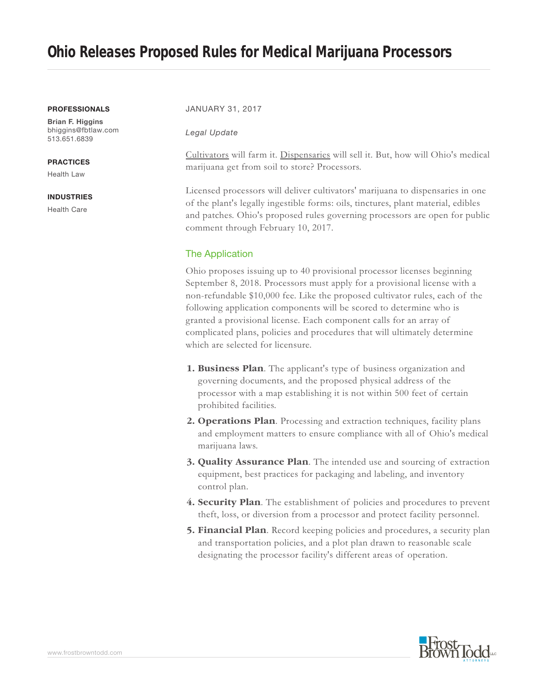# **Ohio Releases Proposed Rules for Medical Marijuana Processors**

#### **PROFESSIONALS**

**Brian F. Higgins** bhiggins@fbtlaw.com 513.651.6839

### **PRACTICES**

Health Law

#### **INDUSTRIES**

Health Care

#### JANUARY 31, 2017

### *Legal Update*

Cultivators will farm it. Dispensaries will sell it. But, how will Ohio's medical marijuana get from soil to store? Processors.

Licensed processors will deliver cultivators' marijuana to dispensaries in one of the plant's legally ingestible forms: oils, tinctures, plant material, edibles and patches. Ohio's proposed rules governing processors are open for public comment through February 10, 2017.

## The Application

Ohio proposes issuing up to 40 provisional processor licenses beginning September 8, 2018. Processors must apply for a provisional license with a non-refundable \$10,000 fee. Like the proposed cultivator rules, each of the following application components will be scored to determine who is granted a provisional license. Each component calls for an array of complicated plans, policies and procedures that will ultimately determine which are selected for licensure.

- **1. Business Plan**. The applicant's type of business organization and governing documents, and the proposed physical address of the processor with a map establishing it is not within 500 feet of certain prohibited facilities.
- **2. Operations Plan**. Processing and extraction techniques, facility plans and employment matters to ensure compliance with all of Ohio's medical marijuana laws.
- **3. Quality Assurance Plan**. The intended use and sourcing of extraction equipment, best practices for packaging and labeling, and inventory control plan.
- **4. Security Plan**. The establishment of policies and procedures to prevent theft, loss, or diversion from a processor and protect facility personnel.
- **5. Financial Plan**. Record keeping policies and procedures, a security plan and transportation policies, and a plot plan drawn to reasonable scale designating the processor facility's different areas of operation.

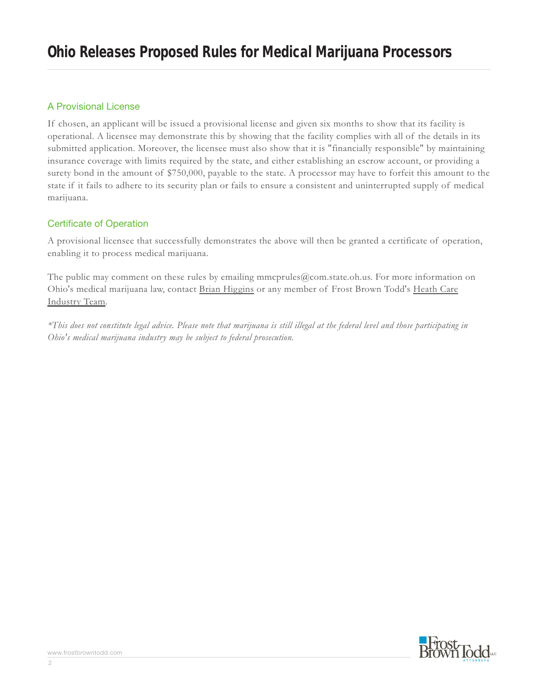## A Provisional License

If chosen, an applicant will be issued a provisional license and given six months to show that its facility is operational. A licensee may demonstrate this by showing that the facility complies with all of the details in its submitted application. Moreover, the licensee must also show that it is "financially responsible" by maintaining insurance coverage with limits required by the state, and either establishing an escrow account, or providing a surety bond in the amount of \$750,000, payable to the state. A processor may have to forfeit this amount to the state if it fails to adhere to its security plan or fails to ensure a consistent and uninterrupted supply of medical marijuana.

## Certificate of Operation

A provisional licensee that successfully demonstrates the above will then be granted a certificate of operation, enabling it to process medical marijuana.

The public may comment on these rules by emailing mmcprules@com.state.oh.us. For more information on Ohio's medical marijuana law, contact Brian Higgins or any member of Frost Brown Todd's Heath Care Industry Team.

*\*This does not constitute legal advice. Please note that marijuana is still illegal at the federal level and those participating in Ohio's medical marijuana industry may be subject to federal prosecution.*

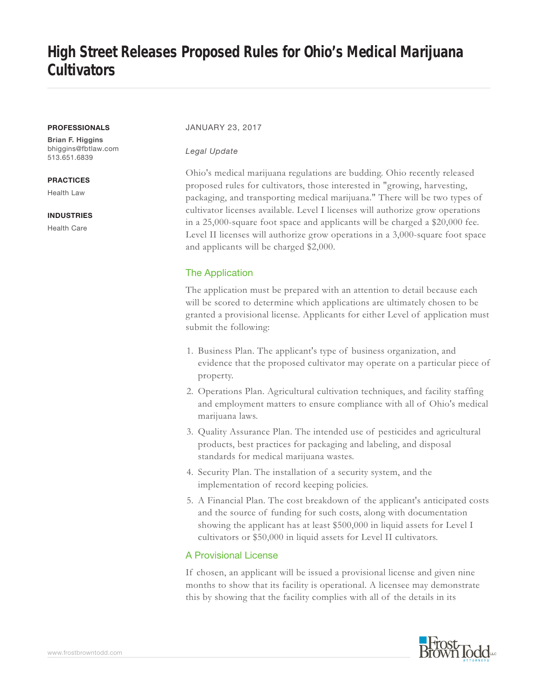#### **PROFESSIONALS**

**Brian F. Higgins** bhiggins@fbtlaw.com 513.651.6839

### **PRACTICES**

Health Law

### **INDUSTRIES**

Health Care

#### JANUARY 23, 2017

#### *Legal Update*

Ohio's medical marijuana regulations are budding. Ohio recently released proposed rules for cultivators, those interested in "growing, harvesting, packaging, and transporting medical marijuana." There will be two types of cultivator licenses available. Level I licenses will authorize grow operations in a 25,000-square foot space and applicants will be charged a \$20,000 fee. Level II licenses will authorize grow operations in a 3,000-square foot space and applicants will be charged \$2,000.

## The Application

The application must be prepared with an attention to detail because each will be scored to determine which applications are ultimately chosen to be granted a provisional license. Applicants for either Level of application must submit the following:

- 1. Business Plan. The applicant's type of business organization, and evidence that the proposed cultivator may operate on a particular piece of property.
- 2. Operations Plan. Agricultural cultivation techniques, and facility staffing and employment matters to ensure compliance with all of Ohio's medical marijuana laws.
- 3. Quality Assurance Plan. The intended use of pesticides and agricultural products, best practices for packaging and labeling, and disposal standards for medical marijuana wastes.
- 4. Security Plan. The installation of a security system, and the implementation of record keeping policies.
- 5. A Financial Plan. The cost breakdown of the applicant's anticipated costs and the source of funding for such costs, along with documentation showing the applicant has at least \$500,000 in liquid assets for Level I cultivators or \$50,000 in liquid assets for Level II cultivators.

## A Provisional License

If chosen, an applicant will be issued a provisional license and given nine months to show that its facility is operational. A licensee may demonstrate this by showing that the facility complies with all of the details in its

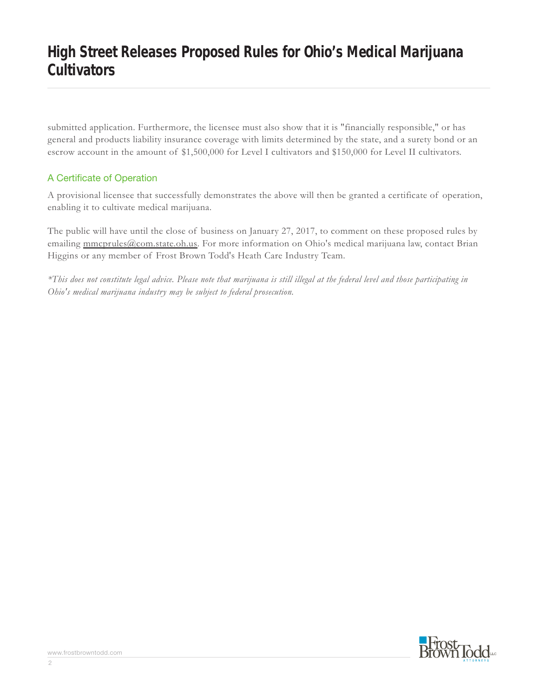submitted application. Furthermore, the licensee must also show that it is "financially responsible," or has general and products liability insurance coverage with limits determined by the state, and a surety bond or an escrow account in the amount of \$1,500,000 for Level I cultivators and \$150,000 for Level II cultivators.

# A Certificate of Operation

A provisional licensee that successfully demonstrates the above will then be granted a certificate of operation, enabling it to cultivate medical marijuana.

The public will have until the close of business on January 27, 2017, to comment on these proposed rules by emailing mmcprules@com.state.oh.us. For more information on Ohio's medical marijuana law, contact Brian Higgins or any member of Frost Brown Todd's Heath Care Industry Team.

*\*This does not constitute legal advice. Please note that marijuana is still illegal at the federal level and those participating in Ohio's medical marijuana industry may be subject to federal prosecution.*

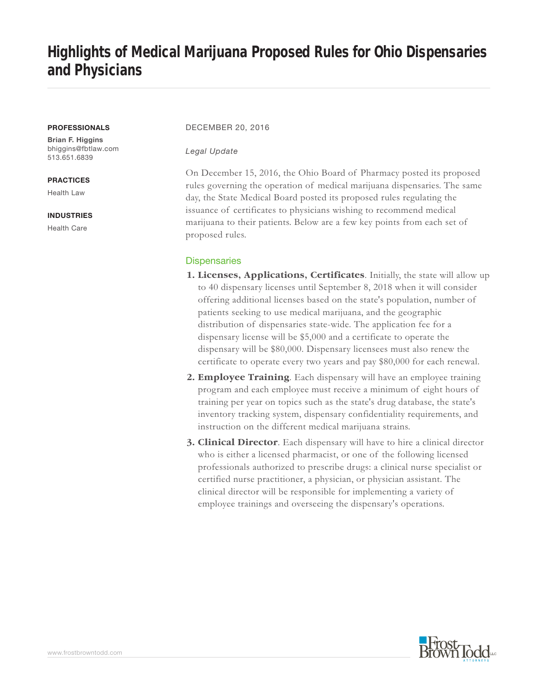# **Highlights of Medical Marijuana Proposed Rules for Ohio Dispensaries and Physicians**

#### **PROFESSIONALS**

**Brian F. Higgins** bhiggins@fbtlaw.com 513.651.6839

#### **PRACTICES**

Health Law

#### **INDUSTRIES**

Health Care

### DECEMBER 20, 2016

#### *Legal Update*

On December 15, 2016, the Ohio Board of Pharmacy posted its proposed rules governing the operation of medical marijuana dispensaries. The same day, the State Medical Board posted its proposed rules regulating the issuance of certificates to physicians wishing to recommend medical marijuana to their patients. Below are a few key points from each set of proposed rules.

## **Dispensaries**

- **1. Licenses, Applications, Certificates**. Initially, the state will allow up to 40 dispensary licenses until September 8, 2018 when it will consider offering additional licenses based on the state's population, number of patients seeking to use medical marijuana, and the geographic distribution of dispensaries state-wide. The application fee for a dispensary license will be \$5,000 and a certificate to operate the dispensary will be \$80,000. Dispensary licensees must also renew the certificate to operate every two years and pay \$80,000 for each renewal.
- **2. Employee Training**. Each dispensary will have an employee training program and each employee must receive a minimum of eight hours of training per year on topics such as the state's drug database, the state's inventory tracking system, dispensary confidentiality requirements, and instruction on the different medical marijuana strains.
- **3. Clinical Director**. Each dispensary will have to hire a clinical director who is either a licensed pharmacist, or one of the following licensed professionals authorized to prescribe drugs: a clinical nurse specialist or certified nurse practitioner, a physician, or physician assistant. The clinical director will be responsible for implementing a variety of employee trainings and overseeing the dispensary's operations.